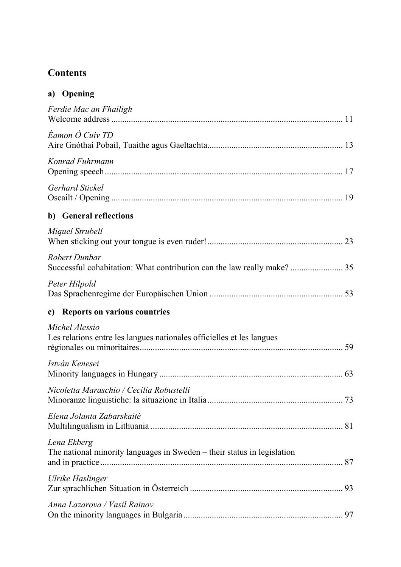## **Contents**

| a) | Opening |
|----|---------|
|----|---------|

| Ferdie Mac an Fhailigh                                                                  |  |
|-----------------------------------------------------------------------------------------|--|
| Éamon Ó Cuiv TD                                                                         |  |
| Konrad Fuhrmann                                                                         |  |
| Gerhard Stickel                                                                         |  |
| b) General reflections                                                                  |  |
| Miquel Strubell                                                                         |  |
| Robert Dunbar                                                                           |  |
| Peter Hilpold                                                                           |  |
| <b>Reports on various countries</b><br>$\mathbf{c}$ )                                   |  |
| Michel Alessio<br>Les relations entre les langues nationales officielles et les langues |  |
| István Kenesei                                                                          |  |
| Nicoletta Maraschio / Cecilia Robustelli                                                |  |
| Elena Jolanta Zabarskaitė                                                               |  |
| Lena Ekberg<br>The national minority languages in Sweden – their status in legislation  |  |
| Ulrike Haslinger                                                                        |  |
| Anna Lazarova / Vasil Rainov                                                            |  |